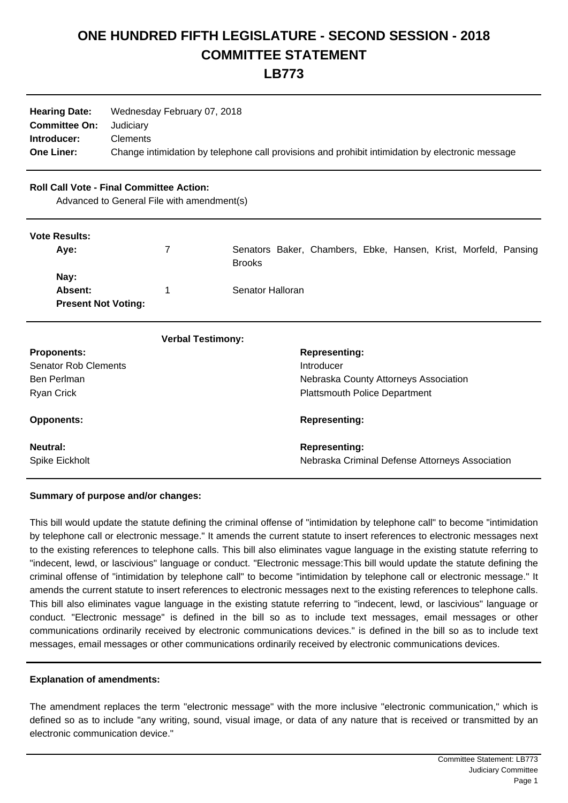## **ONE HUNDRED FIFTH LEGISLATURE - SECOND SESSION - 2018 COMMITTEE STATEMENT**

**LB773**

| Wednesday February 07, 2018                                                                      |  |  |
|--------------------------------------------------------------------------------------------------|--|--|
| Judiciarv                                                                                        |  |  |
| Clements                                                                                         |  |  |
| Change intimidation by telephone call provisions and prohibit intimidation by electronic message |  |  |
|                                                                                                  |  |  |

## **Roll Call Vote - Final Committee Action:**

Advanced to General File with amendment(s)

| <b>Vote Results:</b>       |   |                                                                 |
|----------------------------|---|-----------------------------------------------------------------|
| Aye:                       | 7 | Senators Baker, Chambers, Ebke, Hansen, Krist, Morfeld, Pansing |
|                            |   | <b>Brooks</b>                                                   |
| Nay:                       |   |                                                                 |
| Absent:                    |   | Senator Halloran                                                |
| <b>Present Not Voting:</b> |   |                                                                 |
|                            |   |                                                                 |

| <b>Verbal Testimony:</b>    |                                                 |
|-----------------------------|-------------------------------------------------|
| <b>Proponents:</b>          | <b>Representing:</b>                            |
| <b>Senator Rob Clements</b> | Introducer                                      |
| Ben Perlman                 | Nebraska County Attorneys Association           |
| Ryan Crick                  | <b>Plattsmouth Police Department</b>            |
| <b>Opponents:</b>           | <b>Representing:</b>                            |
| Neutral:                    | <b>Representing:</b>                            |
| Spike Eickholt              | Nebraska Criminal Defense Attorneys Association |

## **Summary of purpose and/or changes:**

This bill would update the statute defining the criminal offense of "intimidation by telephone call" to become "intimidation by telephone call or electronic message." It amends the current statute to insert references to electronic messages next to the existing references to telephone calls. This bill also eliminates vague language in the existing statute referring to "indecent, lewd, or lascivious" language or conduct. "Electronic message:This bill would update the statute defining the criminal offense of "intimidation by telephone call" to become "intimidation by telephone call or electronic message." It amends the current statute to insert references to electronic messages next to the existing references to telephone calls. This bill also eliminates vague language in the existing statute referring to "indecent, lewd, or lascivious" language or conduct. "Electronic message" is defined in the bill so as to include text messages, email messages or other communications ordinarily received by electronic communications devices." is defined in the bill so as to include text messages, email messages or other communications ordinarily received by electronic communications devices.

## **Explanation of amendments:**

The amendment replaces the term "electronic message" with the more inclusive "electronic communication," which is defined so as to include "any writing, sound, visual image, or data of any nature that is received or transmitted by an electronic communication device."